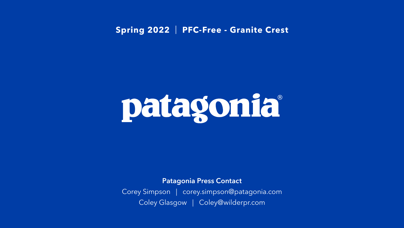#### Patagonia Press Contact

Corey Simpson | corey.simpson@patagonia.com Coley Glasgow | Coley@wilderpr.com

### **Spring 2022** | **PFC-Free - Granite Crest**

# patagonia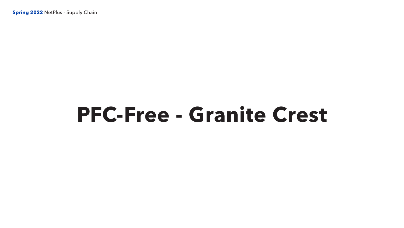**Spring 2022** NetPlus - Supply Chain

## **PFC-Free - Granite Crest**

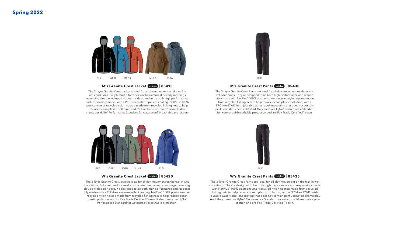#### **Spring 2022**

The 3-layer Granite Crest Jacket is ideal for all day movement on the trail in wet conditions, Fully featured for weeks in the rainforest or early mornings traversing cloud enveloped ridges. It's designed to be both high performance and responsibly made-with a PFC-free water-repellent coating, NetPlus® 100% postconsumer recycled nylon ripstop made from recycled fishing nets to help reduce ocean plastic pollution, and it's Fair Trade Certified™ sewn. It also meets our H<sub>2</sub>No® Performance Standard for waterproof/breathable protection.



#### **M's Granite Crest Jacket Dety 185415** Cres acke<sup>.</sup> etplus"

The 3-layer Granite Crest Jacket is ideal for all day movement on the trail in wet conditions, Fully featured for weeks in the rainforest or early mornings traversing cloud enveloped ridges. It's designed to be both high performance and responsibly made–with a PFC-free water-repellent coating, NetPlus® 100% postconsumer recycled nylon ripstop made from recycled fishing nets to help reduce ocean plastic pollution, and it's Fair Trade Certified™ sewn. It also meets our H<sub>2</sub>No® Performance Standard for waterproof/breathable protection. seket is ideal for all day



#### **M's Granite Crest Pants** | **85430**



**W's Granite Crest Jacket (Detplus) | 85420** Seres Jack

The 3-layer Granite Crest Pants are ideal for all-day movement on the trail in wet conditions. They're designed to be both high performance and responsibly made with NetPlus® 100% postconsumer recycled nylon ripstop made from recycled fishing nets to help reduce ocean plastic pollution; with a PFC-free DWR finish (durable water repellent coating that does not contain perfluorinated chemicals). And, they meet our H<sub>2</sub>No® Performance Standard for waterproof/breathable protection and are Fair Trade Certified™ sewn.



#### **W's Granite Crest Pants** | **85435**

The 3-layer Granite Crest Pants are ideal for all-day movement on the trail in wet conditions. They're designed to be both high performance and responsibly made with NetPlus® 100% postconsumer recycled nylon ripstop made from recycled fishing nets to help reduce ocean plastic pollution; with a PFC-free DWR finish (durable water repellent coating that does not contain perfluorinated chemicals). And, they meet our H<sub>2</sub>No® Performance Standard for waterproof/breathable protection and are Fair Trade Certified™ sewn.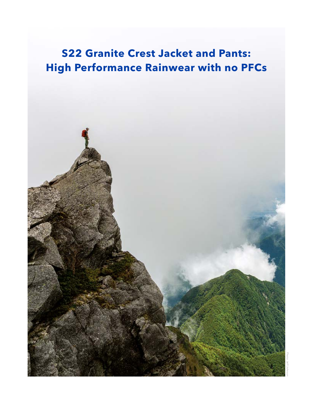## **S22 Granite Crest Jacket and Pants: High Performance Rainwear with no PFCs**

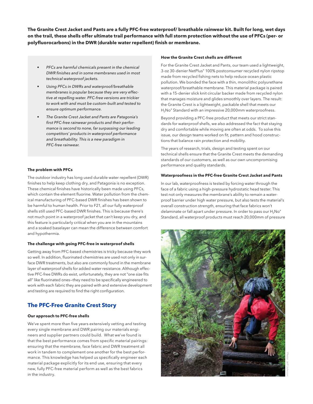**The Granite Crest Jacket and Pants are a fully PFC-free waterproof/ breathable rainwear kit. Built for long, wet days on the trail, these shells offer ultimate trail performance with full storm protection without the use of PFCs (per- or polyfluorocarbons) in the DWR (durable water repellent) finish or membrane.** 

- *• PFCs are harmful chemicals present in the chemical DWR finishes and in some membranes used in most technical waterproof jackets.*
- *• Using PFCs in DWRs and waterproof/breathable membranes is popular because they are very effective at repelling water. PFC-free versions are trickier to work with and must be custom-built and tested to ensure optimum performance.*
- *• The Granite Crest Jacket and Pants are Patagonia's first PFC-free rainwear products and their performance is second to none, far surpassing our leading competitors' products in waterproof performance and breathability. This is a new paradigm in PFC-free rainwear.*

#### **The problem with PFCs**

The outdoor industry has long used durable water repellent (DWR) finishes to help keep clothing dry, and Patagonia is no exception. These chemical finishes have historically been made using PFCs, which contain the element fluorine. Water pollution from the chemical manufacturing of PFC-based DWR finishes has been shown to be harmful to human health. Prior to F21, all our fully waterproof shells still used PFC-based DWR finishes. This is because there's not much point in a waterproof jacket that can't keep you dry, and this feature is particularly critical when you are in the mountains and a soaked baselayer can mean the difference between comfort and hypothermia.

#### **The challenge with going PFC-free in waterproof shells**

Getting away from PFC-based chemistries is tricky because they work so well. In addition, fluorinated chemistries are used not only in surface DWR treatments, but also are commonly found in the membrane layer of waterproof shells for added water resistance. Although effective PFC-free DWRs do exist, unfortunately, they are not "one size fits all" like fluorinated ones—they need to be specifically engineered to work with each fabric they are paired with and extensive development and testing are required to find the right configuration.

#### **The PFC-Free Granite Crest Story**

#### **Our approach to PFC-free shells**

We've spent more than five years extensively vetting and testing every single membrane and DWR pairing our materials engineers and supplier partners could build. What we've found is that the best performance comes from specific material pairings: ensuring that the membrane, face fabric and DWR treatment all work in tandem to complement one another for the best performance. This knowledge has helped us specifically engineer each material package explicitly for its end use, ensuring that every new, fully PFC-free material perform as well as the best fabrics in the industry.

#### **How the Granite Crest shells are different**

For the Granite Crest Jacket and Pants, our team used a lightweight, 3-oz 30-denier NetPlus® 100% postconsumer recycled nylon ripstop made from recycled fishing nets to help reduce ocean plastic pollution. We bonded the face with a thin, monolithic polyurethane waterproof/breathable membrane. This material package is paired with a 15-denier slick knit circular backer made from recycled nylon that manages moisture and glides smoothly over layers. The result: the Granite Crest is a lightweight, packable shell that meets our H<sub>2</sub>No<sup>®</sup> Standard with an impressive 20,000mm waterproofness.

Beyond providing a PFC-free product that meets our strict standards for waterproof shells, we also addressed the fact that staying dry and comfortable while moving are often at odds. To solve this issue, our design teams worked on fit, pattern and hood constructions that balance rain protection and mobility.

The years of research, trials, design and testing spent on our technical shells ensure that the Granite Crest meets the demanding standards of our customers, as well as our own uncompromising performance and quality standards.

#### **Waterproofness in the PFC-free Granite Crest Jacket and Pants**

In our lab, waterproofness is tested by forcing water through the face of a fabric using a high-pressure hydrostatic head tester. This test not only measures the membrane's ability to remain a waterproof barrier under high water pressure, but also tests the material's overall construction strength, ensuring that face fabrics won't delaminate or fall apart under pressure. In order to pass our  $H_2N\sigma$ <sup>®</sup> Standard, all waterproof products must reach 20,000mm of pressure

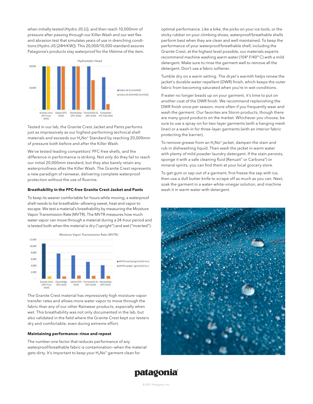when initially tested (Hydro JIS [i]), and then reach 10,000mm of pressure after passing through our Killer Wash and our wet flex and abrasion test that simulates years of use in drenching conditions (Hydro JIS [24HrKW]). This 20,000/10,000 standard assures Patagonia's products stay waterproof for the lifetime of the item.



Tested in our lab, the Granite Crest Jacket and Pants performs just as impressively as our highest-performing technical shell materials and exceeds our H<sub>2</sub>No® Standard by reaching 20,000mm of pressure both before and after the Killer Wash.

We've tested leading competitors' PFC-free shells, and the difference in performance is striking. Not only do they fail to reach our initial 20,000mm standard, but they also barely retain any waterproofness after the Killer Wash. The Granite Crest represents a new paradigm of rainwear, delivering complete waterproof protection without the use of fluorine.

#### **Breathability in the PFC-free Granite Crest Jacket and Pants**

To keep its wearer comfortable for hours while moving, a waterproof shell needs to be breathable—allowing sweat, heat and vapor to escape. We test a material's breathability by measuring the Moisture Vapor Transmission Rate (MVTR). The MVTR measures how much water vapor can move through a material during a 24-hour period and is tested both when the material is dry ("upright") and wet ("inverted").



The Granite Crest material has impressively high moisture-vapor transfer rates and allows more water vapor to move through the fabric than any of our other Rainwear products, especially when wet. This breathability was not only documented in the lab, but also validated in the field where the Granite Crest kept our testers dry and comfortable, even during extreme effort.

#### **Maintaining performance: rinse and repeat**

The number-one factor that reduces performance of any waterproof/breathable fabric is contamination—when the material gets dirty. It's important to keep your H<sub>2</sub>No<sup>®</sup> garment clean for

optimal performance. Like a bike, the picks on your ice tools, or the sticky rubber on your climbing shoes, waterproof/breathable shells perform best when they are clean and well maintained. To keep the performance of your waterproof/breathable shell, including the Granite Crest, at the highest level possible, our materials experts recommend machine washing warm water (104º F/40º C) with a mild detergent. Make sure to rinse the garment well to remove all the detergent. Don't use a fabric softener.

Tumble dry on a warm setting. The dryer's warmth helps renew the jacket's durable water repellent (DWR) finish, which keeps the outer fabric from becoming saturated when you're in wet conditions.

If water no longer beads up on your garment, it's time to put on another coat of the DWR finish. We recommend replenishing the DWR finish once per season, more often if you frequently wear and wash the garment. Our favorites are Storm products, though there are many good products on the market. Whichever you choose, be sure to use a spray-on for two-layer garments (with a hanging mesh liner) or a wash-in for three-layer garments (with an interior fabric protecting the barrier).

To remove grease from an  $H_2N\sigma$ <sup>®</sup> jacket, dampen the stain and rub in dishwashing liquid. Then wash the jacket in warm water with plenty of mild powder laundry detergent. If the stain persists, sponge it with a safe cleaning fluid (Renuzit® or Carbona®) or mineral spirits; you can find them at your local grocery store.

To get gum or sap out of a garment, first freeze the sap with ice, then use a dull butter knife to scrape off as much as you can. Next, soak the garment in a water–white-vinegar solution, and machine wash it in warm water with detergent.